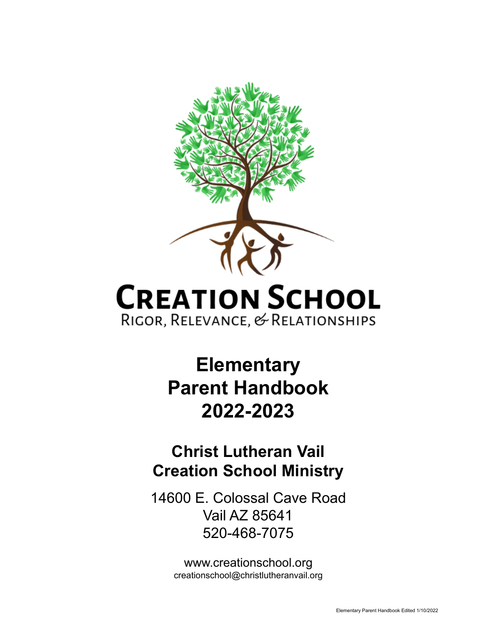

# **CREATION SCHOOL** RIGOR, RELEVANCE, & RELATIONSHIPS

## **Elementary Parent Handbook 2022-2023**

## **Christ Lutheran Vail Creation School Ministry**

14600 E. Colossal Cave Road Vail AZ 85641 520-468-7075

> www.creationschool.org creationschool@christlutheranvail.org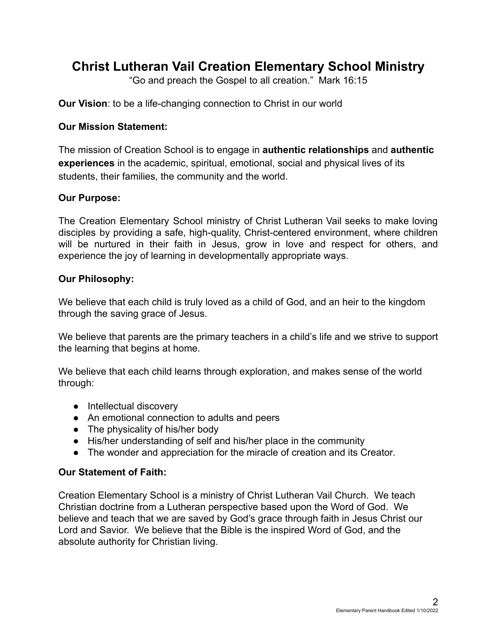### **Christ Lutheran Vail Creation Elementary School Ministry**

"Go and preach the Gospel to all creation." Mark 16:15

**Our Vision**: to be a life-changing connection to Christ in our world

#### **Our Mission Statement:**

The mission of Creation School is to engage in **authentic relationships** and **authentic experiences** in the academic, spiritual, emotional, social and physical lives of its students, their families, the community and the world.

#### **Our Purpose:**

The Creation Elementary School ministry of Christ Lutheran Vail seeks to make loving disciples by providing a safe, high-quality, Christ-centered environment, where children will be nurtured in their faith in Jesus, grow in love and respect for others, and experience the joy of learning in developmentally appropriate ways.

#### **Our Philosophy:**

We believe that each child is truly loved as a child of God, and an heir to the kingdom through the saving grace of Jesus.

We believe that parents are the primary teachers in a child's life and we strive to support the learning that begins at home.

We believe that each child learns through exploration, and makes sense of the world through:

- Intellectual discovery
- An emotional connection to adults and peers
- The physicality of his/her body
- His/her understanding of self and his/her place in the community
- The wonder and appreciation for the miracle of creation and its Creator.

#### **Our Statement of Faith:**

Creation Elementary School is a ministry of Christ Lutheran Vail Church. We teach Christian doctrine from a Lutheran perspective based upon the Word of God. We believe and teach that we are saved by God's grace through faith in Jesus Christ our Lord and Savior. We believe that the Bible is the inspired Word of God, and the absolute authority for Christian living.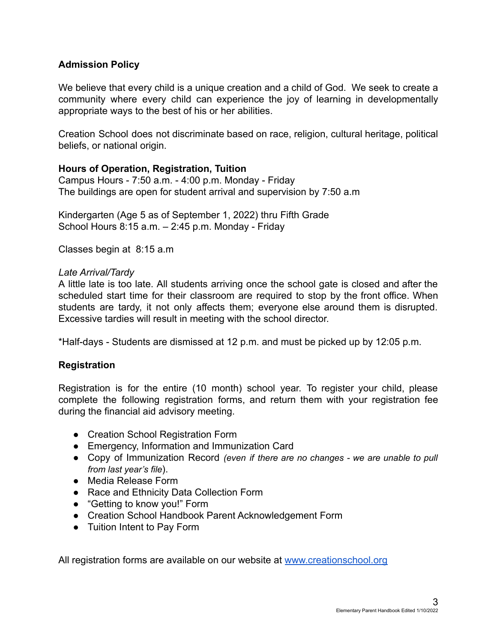#### **Admission Policy**

We believe that every child is a unique creation and a child of God. We seek to create a community where every child can experience the joy of learning in developmentally appropriate ways to the best of his or her abilities.

Creation School does not discriminate based on race, religion, cultural heritage, political beliefs, or national origin.

#### **Hours of Operation, Registration, Tuition**

Campus Hours - 7:50 a.m. - 4:00 p.m. Monday - Friday The buildings are open for student arrival and supervision by 7:50 a.m

Kindergarten (Age 5 as of September 1, 2022) thru Fifth Grade School Hours 8:15 a.m. – 2:45 p.m. Monday - Friday

Classes begin at 8:15 a.m

#### *Late Arrival/Tardy*

A little late is too late. All students arriving once the school gate is closed and after the scheduled start time for their classroom are required to stop by the front office. When students are tardy, it not only affects them; everyone else around them is disrupted. Excessive tardies will result in meeting with the school director.

\*Half-days - Students are dismissed at 12 p.m. and must be picked up by 12:05 p.m.

#### **Registration**

Registration is for the entire (10 month) school year. To register your child, please complete the following registration forms, and return them with your registration fee during the financial aid advisory meeting.

- Creation School Registration Form
- Emergency, Information and Immunization Card
- Copy of Immunization Record *(even if there are no changes - we are unable to pull from last year's file*).
- Media Release Form
- Race and Ethnicity Data Collection Form
- "Getting to know you!" Form
- Creation School Handbook Parent Acknowledgement Form
- Tuition Intent to Pay Form

All registration forms are available on our website at [www.creationschool.org](http://www.creationschool.org/elementary-school-forms)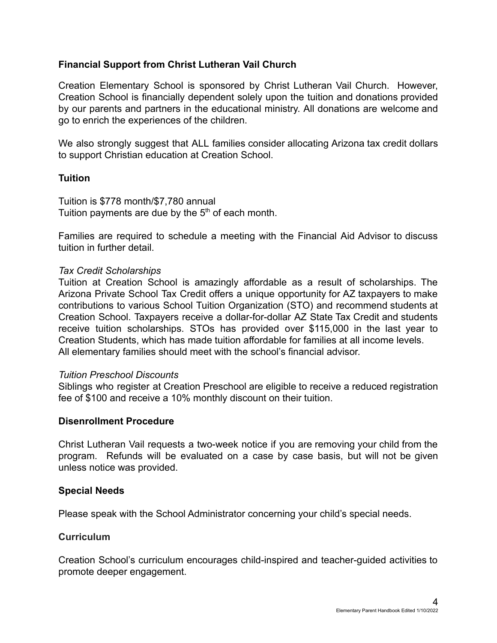#### **Financial Support from Christ Lutheran Vail Church**

Creation Elementary School is sponsored by Christ Lutheran Vail Church. However, Creation School is financially dependent solely upon the tuition and donations provided by our parents and partners in the educational ministry. All donations are welcome and go to enrich the experiences of the children.

We also strongly suggest that ALL families consider allocating Arizona tax credit dollars to support Christian education at Creation School.

#### **Tuition**

Tuition is \$778 month/\$7,780 annual Tuition payments are due by the  $5<sup>th</sup>$  of each month.

Families are required to schedule a meeting with the Financial Aid Advisor to discuss tuition in further detail.

#### *Tax Credit Scholarships*

Tuition at Creation School is amazingly affordable as a result of scholarships. The Arizona Private School Tax Credit offers a unique opportunity for AZ taxpayers to make contributions to various School Tuition Organization (STO) and recommend students at Creation School. Taxpayers receive a dollar-for-dollar AZ State Tax Credit and students receive tuition scholarships. STOs has provided over \$115,000 in the last year to Creation Students, which has made tuition affordable for families at all income levels. All elementary families should meet with the school's financial advisor.

#### *Tuition Preschool Discounts*

Siblings who register at Creation Preschool are eligible to receive a reduced registration fee of \$100 and receive a 10% monthly discount on their tuition.

#### **Disenrollment Procedure**

Christ Lutheran Vail requests a two-week notice if you are removing your child from the program. Refunds will be evaluated on a case by case basis, but will not be given unless notice was provided.

#### **Special Needs**

Please speak with the School Administrator concerning your child's special needs.

#### **Curriculum**

Creation School's curriculum encourages child-inspired and teacher-guided activities to promote deeper engagement.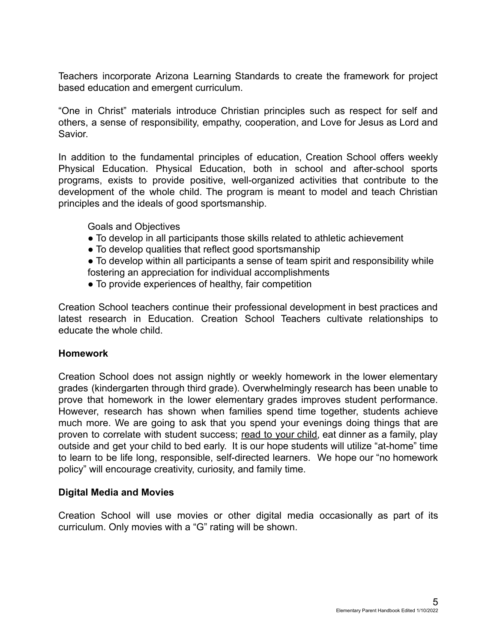Teachers incorporate Arizona Learning Standards to create the framework for project based education and emergent curriculum.

"One in Christ" materials introduce Christian principles such as respect for self and others, a sense of responsibility, empathy, cooperation, and Love for Jesus as Lord and Savior.

In addition to the fundamental principles of education, Creation School offers weekly Physical Education. Physical Education, both in school and after-school sports programs, exists to provide positive, well-organized activities that contribute to the development of the whole child. The program is meant to model and teach Christian principles and the ideals of good sportsmanship.

Goals and Objectives

- To develop in all participants those skills related to athletic achievement
- To develop qualities that reflect good sportsmanship
- To develop within all participants a sense of team spirit and responsibility while fostering an appreciation for individual accomplishments
- To provide experiences of healthy, fair competition

Creation School teachers continue their professional development in best practices and latest research in Education. Creation School Teachers cultivate relationships to educate the whole child.

#### **Homework**

Creation School does not assign nightly or weekly homework in the lower elementary grades (kindergarten through third grade). Overwhelmingly research has been unable to prove that homework in the lower elementary grades improves student performance. However, research has shown when families spend time together, students achieve much more. We are going to ask that you spend your evenings doing things that are proven to correlate with student success; read to your child, eat dinner as a family, play outside and get your child to bed early. It is our hope students will utilize "at-home" time to learn to be life long, responsible, self-directed learners. We hope our "no homework policy" will encourage creativity, curiosity, and family time.

#### **Digital Media and Movies**

Creation School will use movies or other digital media occasionally as part of its curriculum. Only movies with a "G" rating will be shown.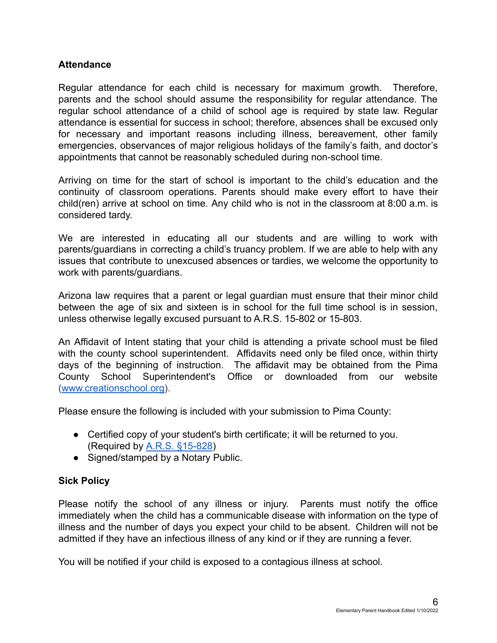#### **Attendance**

Regular attendance for each child is necessary for maximum growth. Therefore, parents and the school should assume the responsibility for regular attendance. The regular school attendance of a child of school age is required by state law. Regular attendance is essential for success in school; therefore, absences shall be excused only for necessary and important reasons including illness, bereavement, other family emergencies, observances of major religious holidays of the family's faith, and doctor's appointments that cannot be reasonably scheduled during non-school time.

Arriving on time for the start of school is important to the child's education and the continuity of classroom operations. Parents should make every effort to have their child(ren) arrive at school on time. Any child who is not in the classroom at 8:00 a.m. is considered tardy.

We are interested in educating all our students and are willing to work with parents/guardians in correcting a child's truancy problem. If we are able to help with any issues that contribute to unexcused absences or tardies, we welcome the opportunity to work with parents/guardians.

Arizona law requires that a parent or legal guardian must ensure that their minor child between the age of six and sixteen is in school for the full time school is in session, unless otherwise legally excused pursuant to A.R.S. 15-802 or 15-803.

An Affidavit of Intent stating that your child is attending a private school must be filed with the county school superintendent. Affidavits need only be filed once, within thirty days of the beginning of instruction. The affidavit may be obtained from the Pima County School Superintendent's Office or downloaded from our website ([www.creationschool.org\)](http://www.christlutheranvail.org).

Please ensure the following is included with your submission to Pima County:

- Certified copy of your student's birth certificate; it will be returned to you. (Required by [A.R.S. §15-828](http://www.azleg.gov/viewdocument/?docName=http://www.azleg.gov/ars/15/00828.htm))
- Signed/stamped by a Notary Public.

#### **Sick Policy**

Please notify the school of any illness or injury. Parents must notify the office immediately when the child has a communicable disease with information on the type of illness and the number of days you expect your child to be absent. Children will not be admitted if they have an infectious illness of any kind or if they are running a fever.

You will be notified if your child is exposed to a contagious illness at school.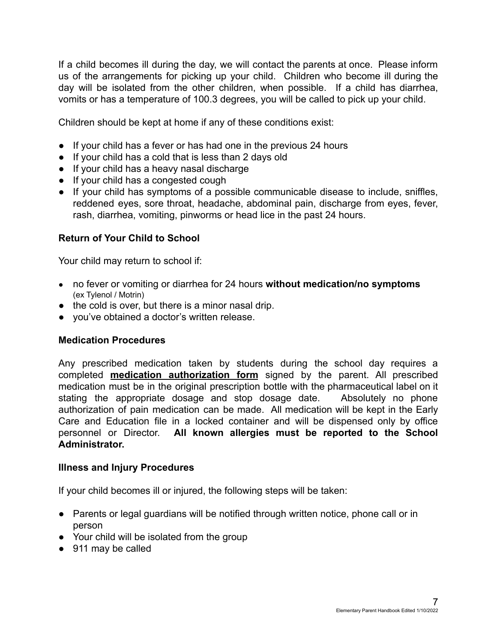If a child becomes ill during the day, we will contact the parents at once. Please inform us of the arrangements for picking up your child. Children who become ill during the day will be isolated from the other children, when possible. If a child has diarrhea, vomits or has a temperature of 100.3 degrees, you will be called to pick up your child.

Children should be kept at home if any of these conditions exist:

- If your child has a fever or has had one in the previous 24 hours
- If your child has a cold that is less than 2 days old
- If your child has a heavy nasal discharge
- If your child has a congested cough
- If your child has symptoms of a possible communicable disease to include, sniffles, reddened eyes, sore throat, headache, abdominal pain, discharge from eyes, fever, rash, diarrhea, vomiting, pinworms or head lice in the past 24 hours.

#### **Return of Your Child to School**

Your child may return to school if:

- no fever or vomiting or diarrhea for 24 hours **without medication/no symptoms** (ex Tylenol / Motrin)
- the cold is over, but there is a minor nasal drip.
- you've obtained a doctor's written release.

#### **Medication Procedures**

Any prescribed medication taken by students during the school day requires a completed **medication authorization form** signed by the parent. All prescribed medication must be in the original prescription bottle with the pharmaceutical label on it stating the appropriate dosage and stop dosage date. Absolutely no phone authorization of pain medication can be made. All medication will be kept in the Early Care and Education file in a locked container and will be dispensed only by office personnel or Director. **All known allergies must be reported to the School Administrator.**

#### **Illness and Injury Procedures**

If your child becomes ill or injured, the following steps will be taken:

- Parents or legal guardians will be notified through written notice, phone call or in person
- Your child will be isolated from the group
- 911 may be called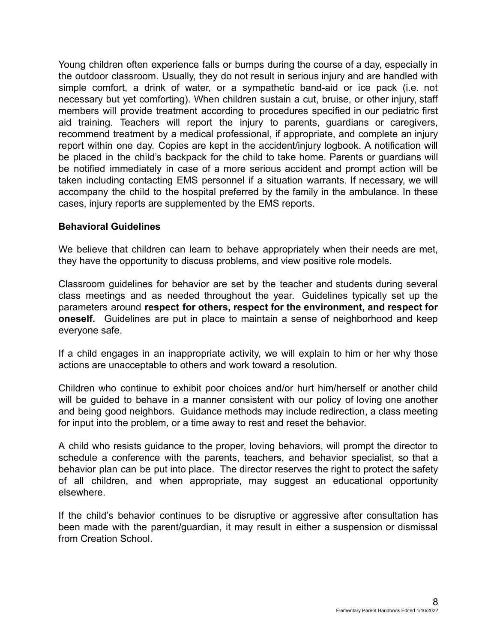Young children often experience falls or bumps during the course of a day, especially in the outdoor classroom. Usually, they do not result in serious injury and are handled with simple comfort, a drink of water, or a sympathetic band-aid or ice pack (i.e. not necessary but yet comforting). When children sustain a cut, bruise, or other injury, staff members will provide treatment according to procedures specified in our pediatric first aid training. Teachers will report the injury to parents, guardians or caregivers, recommend treatment by a medical professional, if appropriate, and complete an injury report within one day. Copies are kept in the accident/injury logbook. A notification will be placed in the child's backpack for the child to take home. Parents or guardians will be notified immediately in case of a more serious accident and prompt action will be taken including contacting EMS personnel if a situation warrants. If necessary, we will accompany the child to the hospital preferred by the family in the ambulance. In these cases, injury reports are supplemented by the EMS reports.

#### **Behavioral Guidelines**

We believe that children can learn to behave appropriately when their needs are met, they have the opportunity to discuss problems, and view positive role models.

Classroom guidelines for behavior are set by the teacher and students during several class meetings and as needed throughout the year. Guidelines typically set up the parameters around **respect for others, respect for the environment, and respect for oneself.** Guidelines are put in place to maintain a sense of neighborhood and keep everyone safe.

If a child engages in an inappropriate activity, we will explain to him or her why those actions are unacceptable to others and work toward a resolution.

Children who continue to exhibit poor choices and/or hurt him/herself or another child will be guided to behave in a manner consistent with our policy of loving one another and being good neighbors. Guidance methods may include redirection, a class meeting for input into the problem, or a time away to rest and reset the behavior.

A child who resists guidance to the proper, loving behaviors, will prompt the director to schedule a conference with the parents, teachers, and behavior specialist, so that a behavior plan can be put into place. The director reserves the right to protect the safety of all children, and when appropriate, may suggest an educational opportunity elsewhere.

If the child's behavior continues to be disruptive or aggressive after consultation has been made with the parent/guardian, it may result in either a suspension or dismissal from Creation School.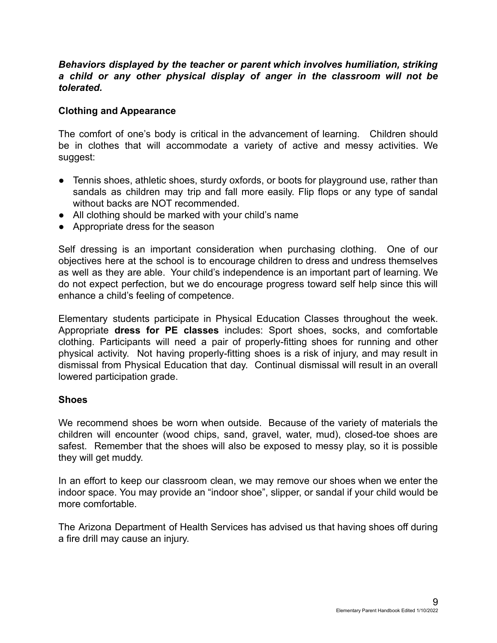#### *Behaviors displayed by the teacher or parent which involves humiliation, striking a child or any other physical display of anger in the classroom will not be tolerated.*

#### **Clothing and Appearance**

The comfort of one's body is critical in the advancement of learning. Children should be in clothes that will accommodate a variety of active and messy activities. We suggest:

- Tennis shoes, athletic shoes, sturdy oxfords, or boots for playground use, rather than sandals as children may trip and fall more easily. Flip flops or any type of sandal without backs are NOT recommended.
- All clothing should be marked with your child's name
- Appropriate dress for the season

Self dressing is an important consideration when purchasing clothing. One of our objectives here at the school is to encourage children to dress and undress themselves as well as they are able. Your child's independence is an important part of learning. We do not expect perfection, but we do encourage progress toward self help since this will enhance a child's feeling of competence.

Elementary students participate in Physical Education Classes throughout the week. Appropriate **dress for PE classes** includes: Sport shoes, socks, and comfortable clothing. Participants will need a pair of properly-fitting shoes for running and other physical activity. Not having properly-fitting shoes is a risk of injury, and may result in dismissal from Physical Education that day. Continual dismissal will result in an overall lowered participation grade.

#### **Shoes**

We recommend shoes be worn when outside. Because of the variety of materials the children will encounter (wood chips, sand, gravel, water, mud), closed-toe shoes are safest. Remember that the shoes will also be exposed to messy play, so it is possible they will get muddy.

In an effort to keep our classroom clean, we may remove our shoes when we enter the indoor space. You may provide an "indoor shoe", slipper, or sandal if your child would be more comfortable.

The Arizona Department of Health Services has advised us that having shoes off during a fire drill may cause an injury.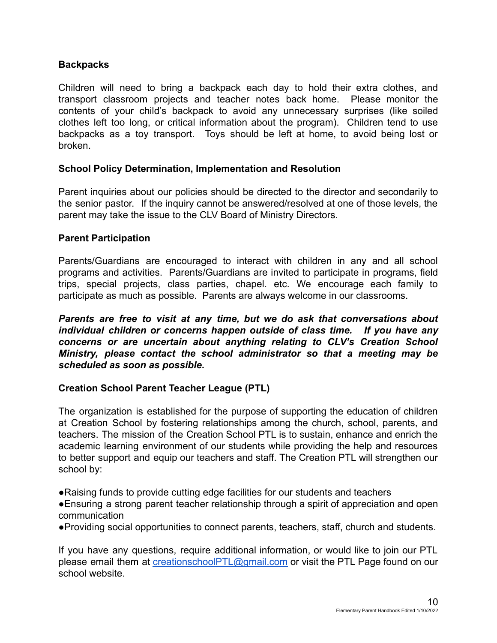#### **Backpacks**

Children will need to bring a backpack each day to hold their extra clothes, and transport classroom projects and teacher notes back home. Please monitor the contents of your child's backpack to avoid any unnecessary surprises (like soiled clothes left too long, or critical information about the program). Children tend to use backpacks as a toy transport. Toys should be left at home, to avoid being lost or broken.

#### **School Policy Determination, Implementation and Resolution**

Parent inquiries about our policies should be directed to the director and secondarily to the senior pastor. If the inquiry cannot be answered/resolved at one of those levels, the parent may take the issue to the CLV Board of Ministry Directors.

#### **Parent Participation**

Parents/Guardians are encouraged to interact with children in any and all school programs and activities. Parents/Guardians are invited to participate in programs, field trips, special projects, class parties, chapel. etc. We encourage each family to participate as much as possible. Parents are always welcome in our classrooms.

*Parents are free to visit at any time, but we do ask that conversations about individual children or concerns happen outside of class time. If you have any concerns or are uncertain about anything relating to CLV's Creation School Ministry, please contact the school administrator so that a meeting may be scheduled as soon as possible.*

#### **Creation School Parent Teacher League (PTL)**

The organization is established for the purpose of supporting the education of children at Creation School by fostering relationships among the church, school, parents, and teachers. The mission of the Creation School PTL is to sustain, enhance and enrich the academic learning environment of our students while providing the help and resources to better support and equip our teachers and staff. The Creation PTL will strengthen our school by:

●Raising funds to provide cutting edge facilities for our students and teachers

●Ensuring a strong parent teacher relationship through a spirit of appreciation and open communication

●Providing social opportunities to connect parents, teachers, staff, church and students.

If you have any questions, require additional information, or would like to join our PTL please email them at *[creationschoolPTL@gmail.com](mailto:creationschoolPTL@gmail.com)* or visit the PTL Page found on our school website.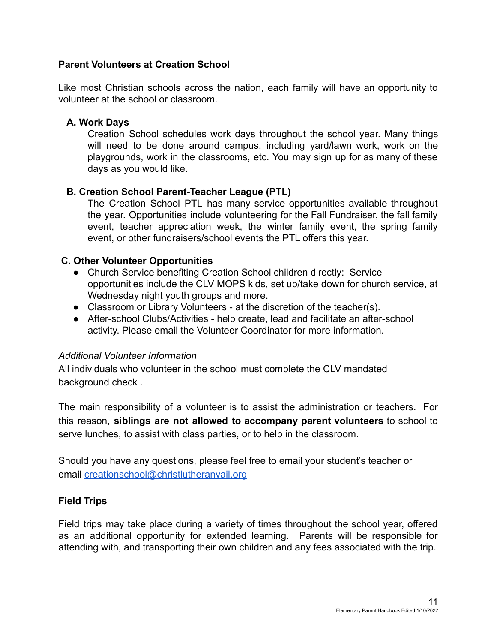#### **Parent Volunteers at Creation School**

Like most Christian schools across the nation, each family will have an opportunity to volunteer at the school or classroom.

#### **A. Work Days**

Creation School schedules work days throughout the school year. Many things will need to be done around campus, including yard/lawn work, work on the playgrounds, work in the classrooms, etc. You may sign up for as many of these days as you would like.

#### **B. Creation School Parent-Teacher League (PTL)**

The Creation School PTL has many service opportunities available throughout the year. Opportunities include volunteering for the Fall Fundraiser, the fall family event, teacher appreciation week, the winter family event, the spring family event, or other fundraisers/school events the PTL offers this year.

#### **C. Other Volunteer Opportunities**

- Church Service benefiting Creation School children directly: Service opportunities include the CLV MOPS kids, set up/take down for church service, at Wednesday night youth groups and more.
- Classroom or Library Volunteers at the discretion of the teacher(s).
- After-school Clubs/Activities help create, lead and facilitate an after-school activity. Please email the Volunteer Coordinator for more information.

#### *Additional Volunteer Information*

All individuals who volunteer in the school must complete the CLV mandated background check .

The main responsibility of a volunteer is to assist the administration or teachers. For this reason, **siblings are not allowed to accompany parent volunteers** to school to serve lunches, to assist with class parties, or to help in the classroom.

Should you have any questions, please feel free to email your student's teacher or email [creationschool@christlutheranvail.org](mailto:creationschool@christlutheranvail.org)

#### **Field Trips**

Field trips may take place during a variety of times throughout the school year, offered as an additional opportunity for extended learning. Parents will be responsible for attending with, and transporting their own children and any fees associated with the trip.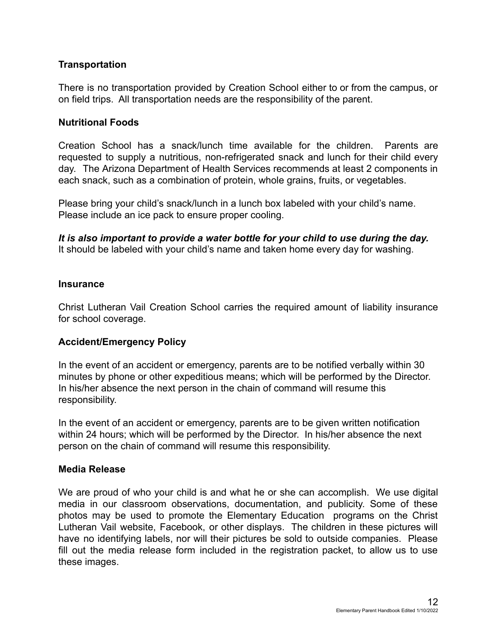#### **Transportation**

There is no transportation provided by Creation School either to or from the campus, or on field trips. All transportation needs are the responsibility of the parent.

#### **Nutritional Foods**

Creation School has a snack/lunch time available for the children. Parents are requested to supply a nutritious, non-refrigerated snack and lunch for their child every day. The Arizona Department of Health Services recommends at least 2 components in each snack, such as a combination of protein, whole grains, fruits, or vegetables.

Please bring your child's snack/lunch in a lunch box labeled with your child's name. Please include an ice pack to ensure proper cooling.

*It is also important to provide a water bottle for your child to use during the day.* It should be labeled with your child's name and taken home every day for washing.

#### **Insurance**

Christ Lutheran Vail Creation School carries the required amount of liability insurance for school coverage.

#### **Accident/Emergency Policy**

In the event of an accident or emergency, parents are to be notified verbally within 30 minutes by phone or other expeditious means; which will be performed by the Director. In his/her absence the next person in the chain of command will resume this responsibility.

In the event of an accident or emergency, parents are to be given written notification within 24 hours; which will be performed by the Director. In his/her absence the next person on the chain of command will resume this responsibility.

#### **Media Release**

We are proud of who your child is and what he or she can accomplish. We use digital media in our classroom observations, documentation, and publicity. Some of these photos may be used to promote the Elementary Education programs on the Christ Lutheran Vail website, Facebook, or other displays. The children in these pictures will have no identifying labels, nor will their pictures be sold to outside companies. Please fill out the media release form included in the registration packet, to allow us to use these images.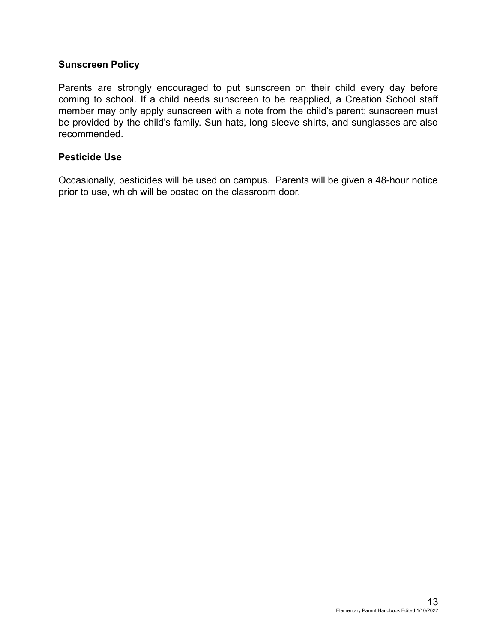#### **Sunscreen Policy**

Parents are strongly encouraged to put sunscreen on their child every day before coming to school. If a child needs sunscreen to be reapplied, a Creation School staff member may only apply sunscreen with a note from the child's parent; sunscreen must be provided by the child's family. Sun hats, long sleeve shirts, and sunglasses are also recommended.

#### **Pesticide Use**

Occasionally, pesticides will be used on campus. Parents will be given a 48-hour notice prior to use, which will be posted on the classroom door.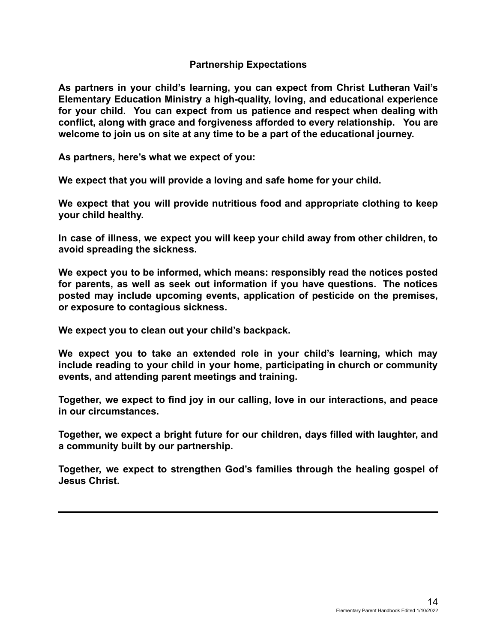#### **Partnership Expectations**

**As partners in your child's learning, you can expect from Christ Lutheran Vail's Elementary Education Ministry a high-quality, loving, and educational experience for your child. You can expect from us patience and respect when dealing with conflict, along with grace and forgiveness afforded to every relationship. You are welcome to join us on site at any time to be a part of the educational journey.**

**As partners, here's what we expect of you:**

**We expect that you will provide a loving and safe home for your child.**

**We expect that you will provide nutritious food and appropriate clothing to keep your child healthy.**

**In case of illness, we expect you will keep your child away from other children, to avoid spreading the sickness.**

**We expect you to be informed, which means: responsibly read the notices posted for parents, as well as seek out information if you have questions. The notices posted may include upcoming events, application of pesticide on the premises, or exposure to contagious sickness.**

**We expect you to clean out your child's backpack.**

**We expect you to take an extended role in your child's learning, which may include reading to your child in your home, participating in church or community events, and attending parent meetings and training.**

**Together, we expect to find joy in our calling, love in our interactions, and peace in our circumstances.**

**Together, we expect a bright future for our children, days filled with laughter, and a community built by our partnership.**

**Together, we expect to strengthen God's families through the healing gospel of Jesus Christ.**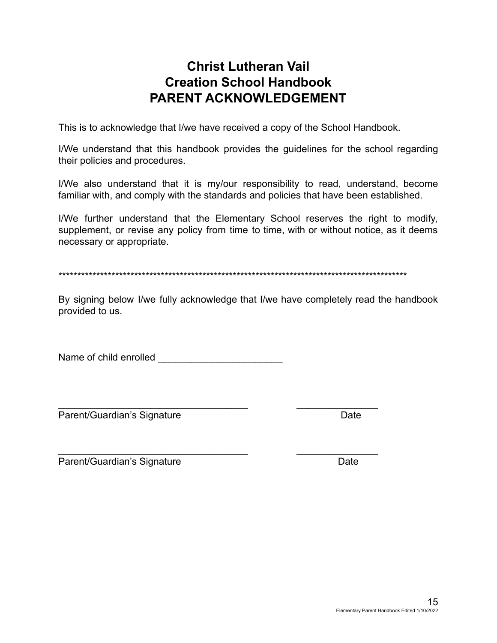### **Christ Lutheran Vail Creation School Handbook PARENT ACKNOWLEDGEMENT**

This is to acknowledge that I/we have received a copy of the School Handbook.

I/We understand that this handbook provides the guidelines for the school regarding their policies and procedures.

I/We also understand that it is my/our responsibility to read, understand, become familiar with, and comply with the standards and policies that have been established.

I/We further understand that the Elementary School reserves the right to modify, supplement, or revise any policy from time to time, with or without notice, as it deems necessary or appropriate.

\*\*\*\*\*\*\*\*\*\*\*\*\*\*\*\*\*\*\*\*\*\*\*\*\*\*\*\*\*\*\*\*\*\*\*\*\*\*\*\*\*\*\*\*\*\*\*\*\*\*\*\*\*\*\*\*\*\*\*\*\*\*\*\*\*\*\*\*\*\*\*\*\*\*\*\*\*\*\*\*\*\*\*\*\*\*\*\*\*\*\*\*

By signing below I/we fully acknowledge that I/we have completely read the handbook provided to us.

Name of child enrolled **Name** 

Parent/Guardian's Signature Date

\_\_\_\_\_\_\_\_\_\_\_\_\_\_\_\_\_\_\_\_\_\_\_\_\_\_\_\_\_\_\_\_\_\_\_ \_\_\_\_\_\_\_\_\_\_\_\_\_\_\_

\_\_\_\_\_\_\_\_\_\_\_\_\_\_\_\_\_\_\_\_\_\_\_\_\_\_\_\_\_\_\_\_\_\_\_ \_\_\_\_\_\_\_\_\_\_\_\_\_\_\_

Parent/Guardian's Signature **Date** Date